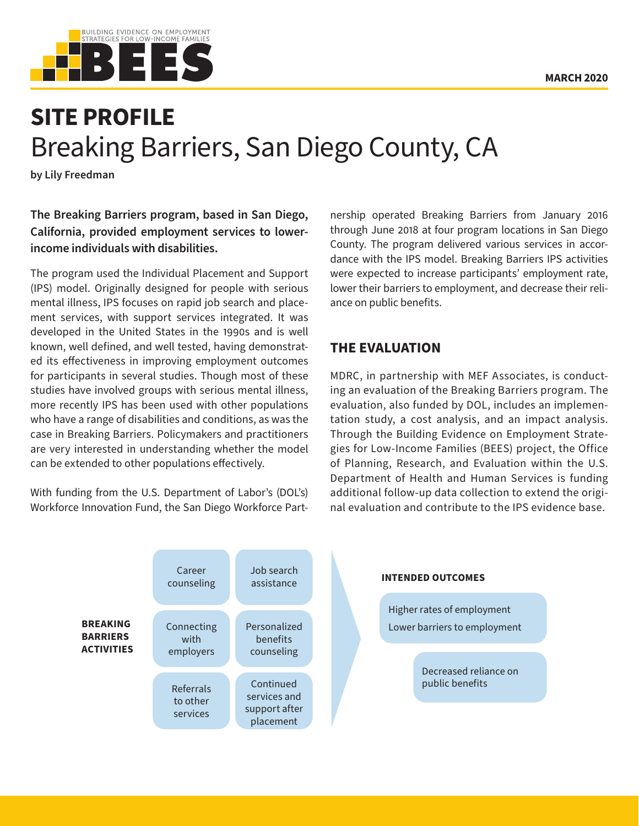

# **SITE PROFILE** Breaking Barriers, San Diego County, CA

**by Lily Freedman**

**The Breaking Barriers program, based in San Diego, California, provided employment services to lowerincome individuals with disabilities.**

The program used the Individual Placement and Support (IPS) model. Originally designed for people with serious mental illness, IPS focuses on rapid job search and placement services, with support services integrated. It was developed in the United States in the 1990s and is well known, well defined, and well tested, having demonstrated its effectiveness in improving employment outcomes for participants in several studies. Though most of these studies have involved groups with serious mental illness, more recently IPS has been used with other populations who have a range of disabilities and conditions, as was the case in Breaking Barriers. Policymakers and practitioners are very interested in understanding whether the model can be extended to other populations effectively.

With funding from the U.S. Department of Labor's (DOL's) Workforce Innovation Fund, the San Diego Workforce Partnership operated Breaking Barriers from January 2016 through June 2018 at four program locations in San Diego County. The program delivered various services in accordance with the IPS model. Breaking Barriers IPS activities were expected to increase participants' employment rate, lower their barriers to employment, and decrease their reliance on public benefits.

## **THE EVALUATION**

MDRC, in partnership with MEF Associates, is conducting an evaluation of the Breaking Barriers program. The evaluation, also funded by DOL, includes an implementation study, a cost analysis, and an impact analysis. Through the Building Evidence on Employment Strategies for Low-Income Families (BEES) project, the Office of Planning, Research, and Evaluation within the U.S. Department of Health and Human Services is funding additional follow-up data collection to extend the original evaluation and contribute to the IPS evidence base.